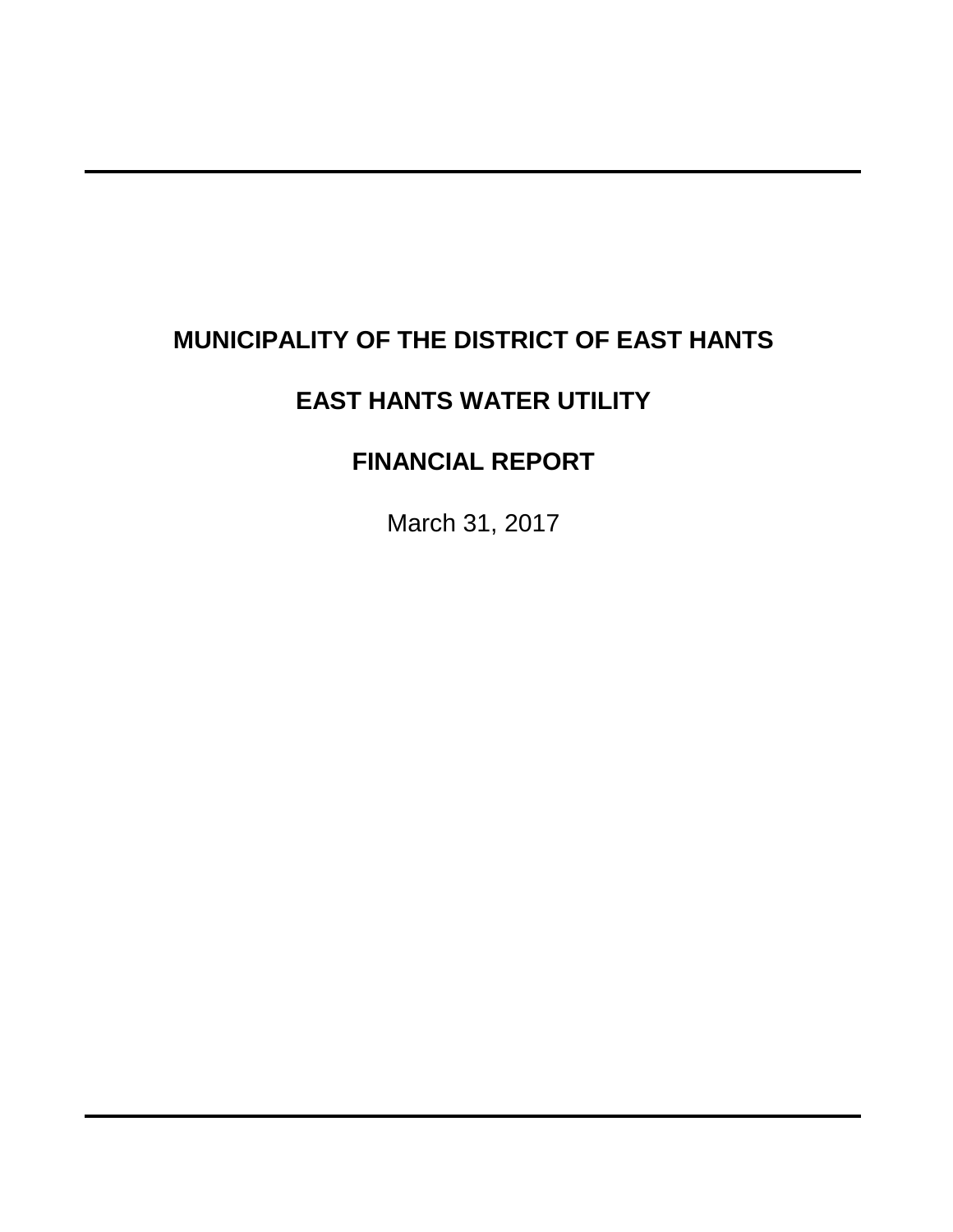# **MUNICIPALITY OF THE DISTRICT OF EAST HANTS**

# **EAST HANTS WATER UTILITY**

# **FINANCIAL REPORT**

March 31, 2017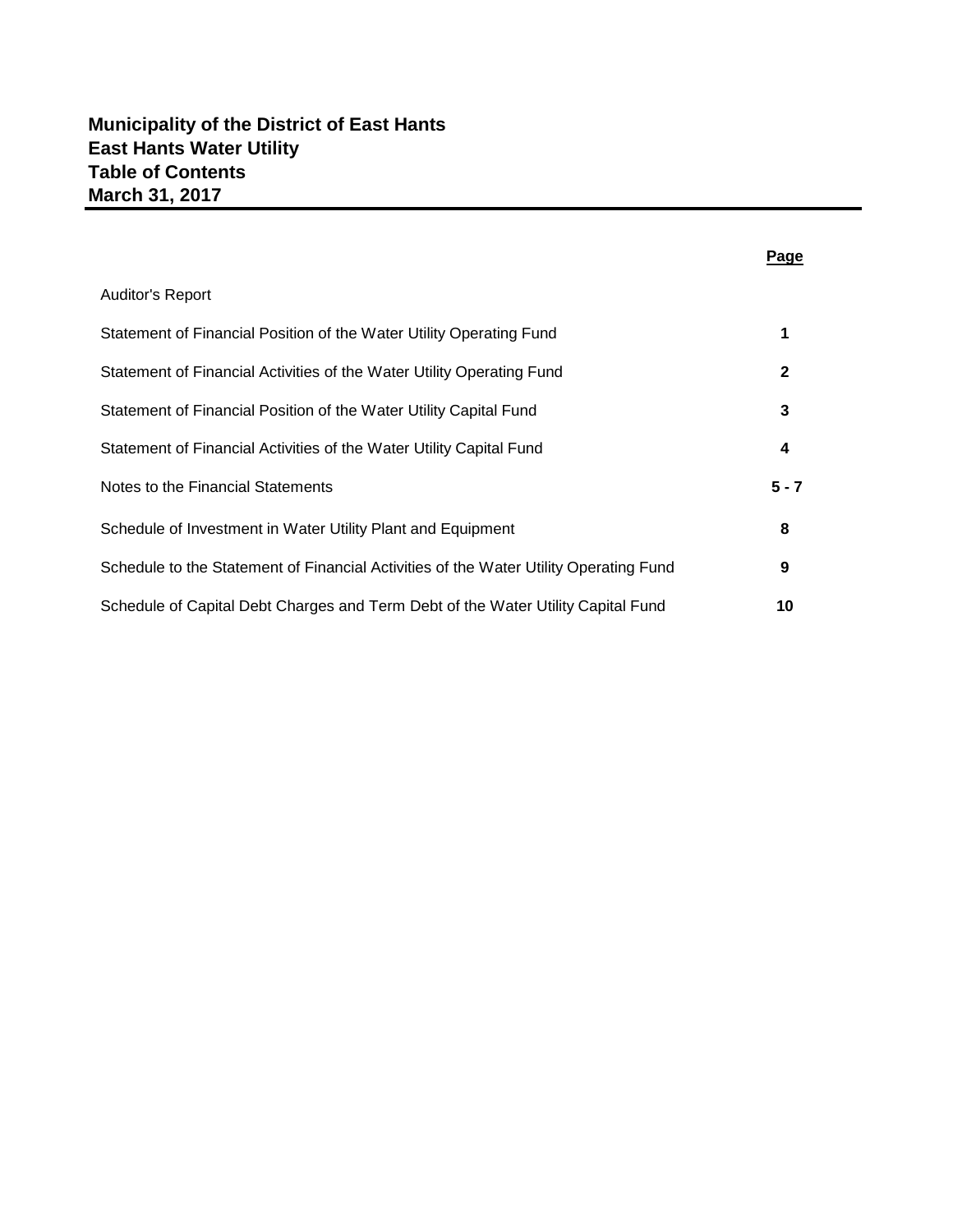|                                                                                       | Page         |
|---------------------------------------------------------------------------------------|--------------|
| <b>Auditor's Report</b>                                                               |              |
| Statement of Financial Position of the Water Utility Operating Fund                   | 1            |
| Statement of Financial Activities of the Water Utility Operating Fund                 | $\mathbf{2}$ |
| Statement of Financial Position of the Water Utility Capital Fund                     | 3            |
| Statement of Financial Activities of the Water Utility Capital Fund                   | 4            |
| Notes to the Financial Statements                                                     | $5 - 7$      |
| Schedule of Investment in Water Utility Plant and Equipment                           | 8            |
| Schedule to the Statement of Financial Activities of the Water Utility Operating Fund | 9            |
| Schedule of Capital Debt Charges and Term Debt of the Water Utility Capital Fund      | 10           |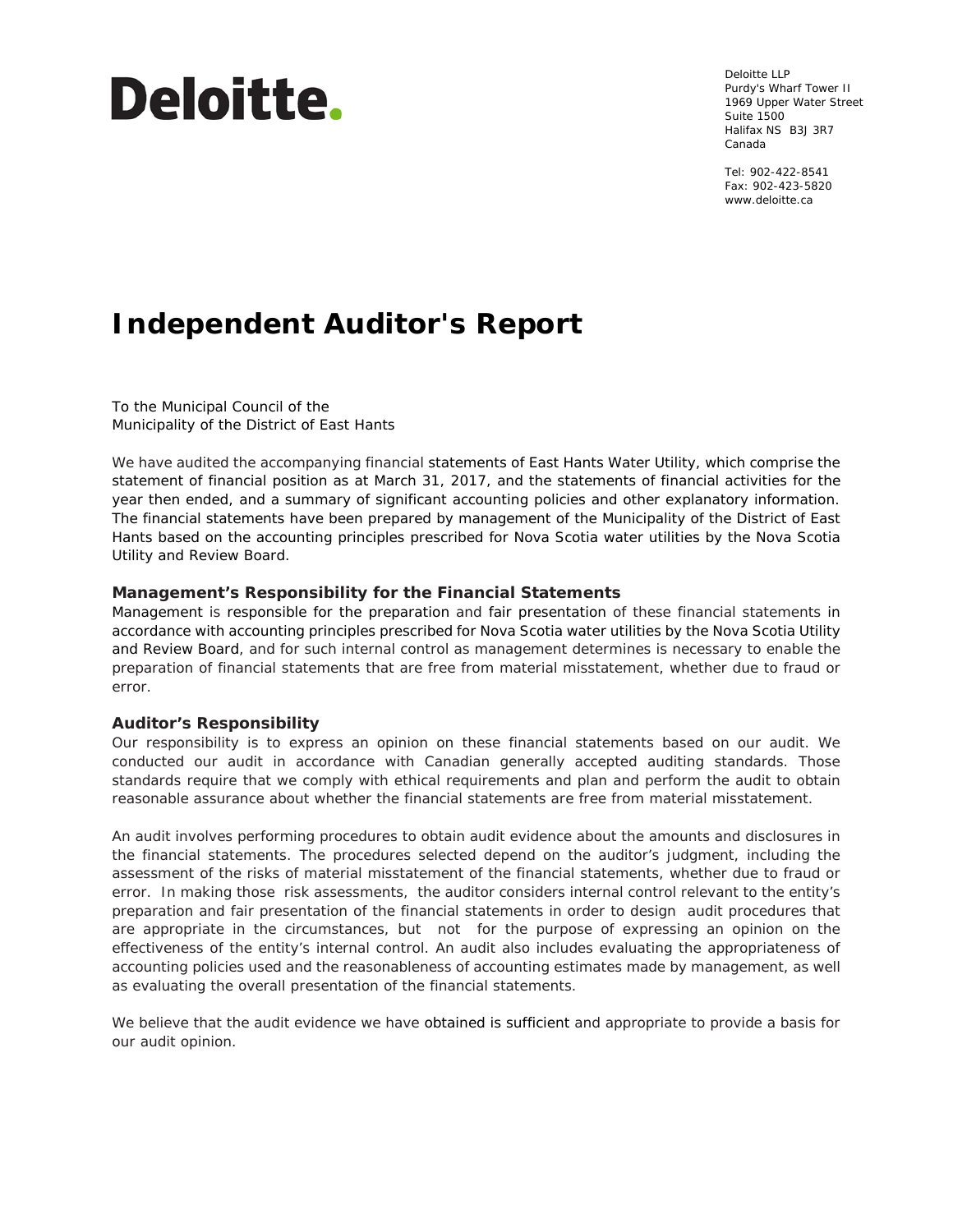# **Deloitte.**

Deloitte LLP Purdy's Wharf Tower II 1969 Upper Water Street Suite 1500 Halifax NS B3J 3R7 Canada

Tel: 902-422-8541 Fax: 902-423-5820 www.deloitte.ca

# **Independent Auditor's Report**

To the Municipal Council of the Municipality of the District of East Hants

We have audited the accompanying financial statements of East Hants Water Utility, which comprise the statement of financial position as at March 31, 2017, and the statements of financial activities for the year then ended, and a summary of significant accounting policies and other explanatory information. The financial statements have been prepared by management of the Municipality of the District of East Hants based on the accounting principles prescribed for Nova Scotia water utilities by the Nova Scotia Utility and Review Board.

#### **Management's Responsibility for the Financial Statements**

Management is responsible for the preparation and fair presentation of these financial statements in accordance with accounting principles prescribed for Nova Scotia water utilities by the Nova Scotia Utility and Review Board, and for such internal control as management determines is necessary to enable the preparation of financial statements that are free from material misstatement, whether due to fraud or error.

#### **Auditor's Responsibility**

Our responsibility is to express an opinion on these financial statements based on our audit. We conducted our audit in accordance with Canadian generally accepted auditing standards. Those standards require that we comply with ethical requirements and plan and perform the audit to obtain reasonable assurance about whether the financial statements are free from material misstatement.

An audit involves performing procedures to obtain audit evidence about the amounts and disclosures in the financial statements. The procedures selected depend on the auditor's judgment, including the assessment of the risks of material misstatement of the financial statements, whether due to fraud or error. In making those risk assessments, the auditor considers internal control relevant to the entity's preparation and fair presentation of the financial statements in order to design audit procedures that are appropriate in the circumstances, but not for the purpose of expressing an opinion on the effectiveness of the entity's internal control. An audit also includes evaluating the appropriateness of accounting policies used and the reasonableness of accounting estimates made by management, as well as evaluating the overall presentation of the financial statements.

We believe that the audit evidence we have obtained is sufficient and appropriate to provide a basis for our audit opinion.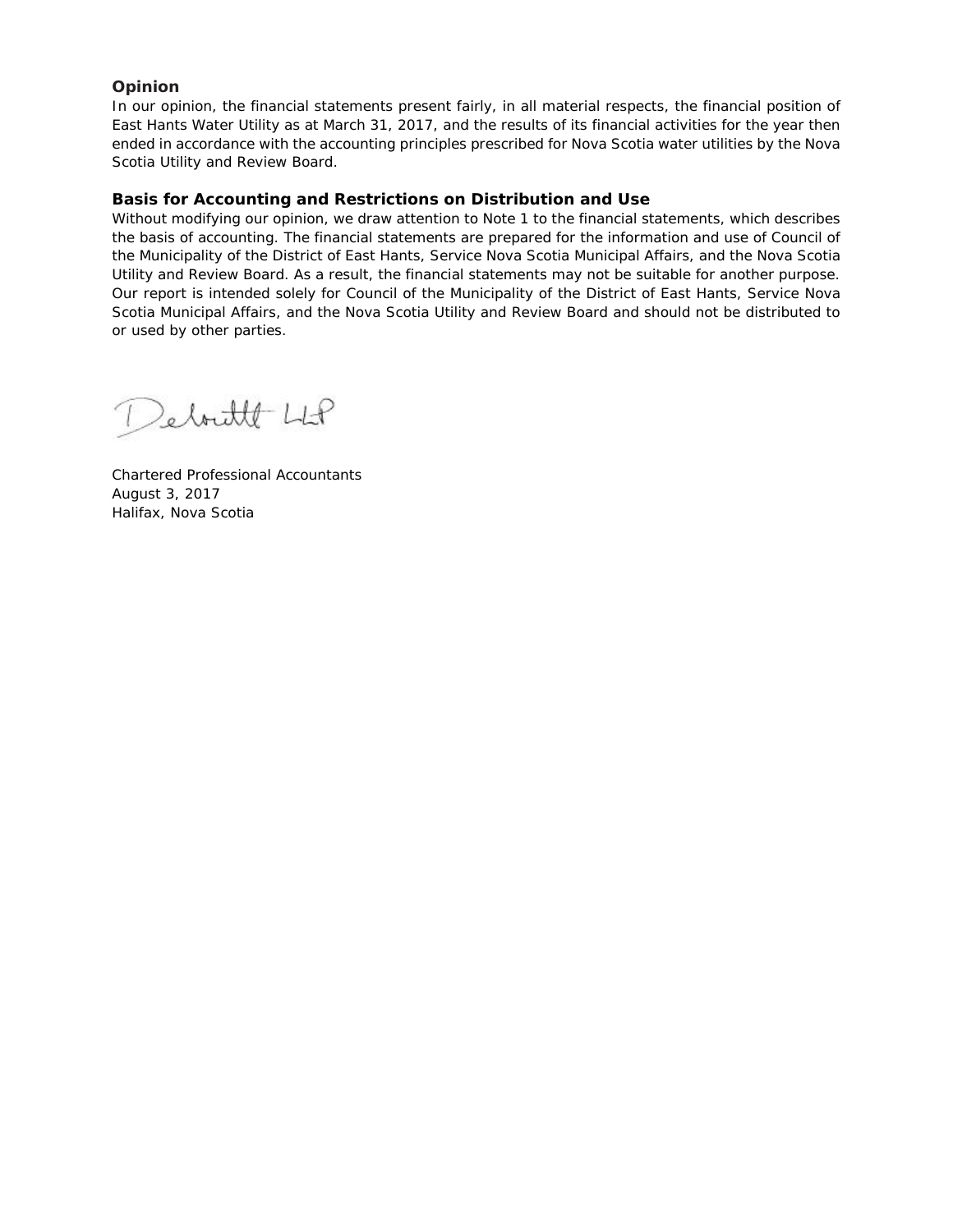#### **Opinion**

In our opinion, the financial statements present fairly, in all material respects, the financial position of East Hants Water Utility as at March 31, 2017, and the results of its financial activities for the year then ended in accordance with the accounting principles prescribed for Nova Scotia water utilities by the Nova Scotia Utility and Review Board.

#### **Basis for Accounting and Restrictions on Distribution and Use**

Without modifying our opinion, we draw attention to Note 1 to the financial statements, which describes the basis of accounting. The financial statements are prepared for the information and use of Council of the Municipality of the District of East Hants, Service Nova Scotia Municipal Affairs, and the Nova Scotia Utility and Review Board. As a result, the financial statements may not be suitable for another purpose. Our report is intended solely for Council of the Municipality of the District of East Hants, Service Nova Scotia Municipal Affairs, and the Nova Scotia Utility and Review Board and should not be distributed to or used by other parties.

Deboutt LLP

Chartered Professional Accountants August 3, 2017 Halifax, Nova Scotia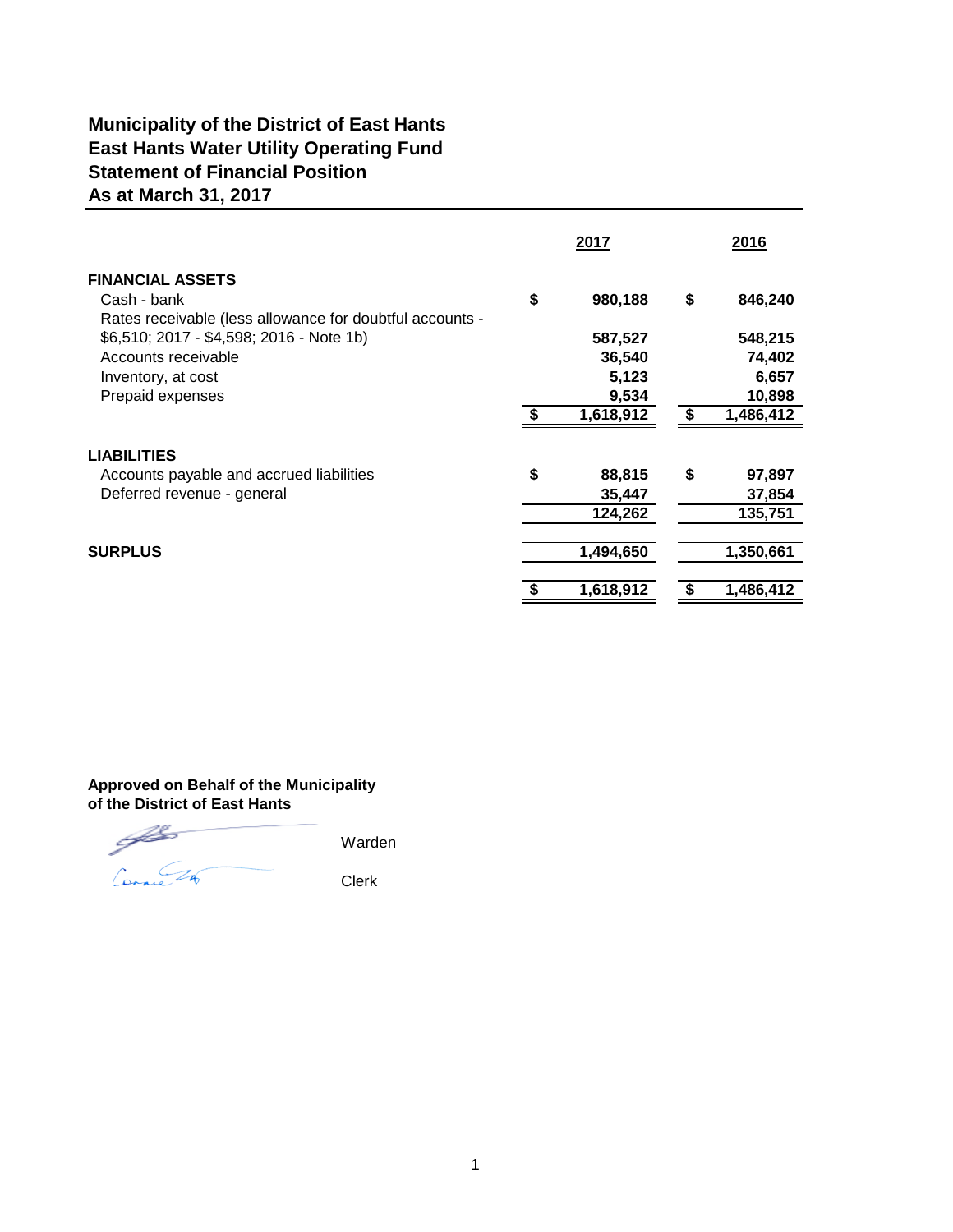## **Municipality of the District of East Hants East Hants Water Utility Operating Fund As at March 31, 2017 Statement of Financial Position**

|                                                          | 2017          | 2016          |
|----------------------------------------------------------|---------------|---------------|
| <b>FINANCIAL ASSETS</b>                                  |               |               |
| Cash - bank                                              | \$<br>980,188 | \$<br>846,240 |
| Rates receivable (less allowance for doubtful accounts - |               |               |
| \$6,510; 2017 - \$4,598; 2016 - Note 1b)                 | 587,527       | 548,215       |
| Accounts receivable                                      | 36,540        | 74,402        |
| Inventory, at cost                                       | 5,123         | 6,657         |
| Prepaid expenses                                         | 9,534         | 10,898        |
|                                                          | 1,618,912     | 1,486,412     |
| <b>LIABILITIES</b>                                       |               |               |
| Accounts payable and accrued liabilities                 | \$<br>88,815  | \$<br>97,897  |
| Deferred revenue - general                               | 35,447        | 37,854        |
|                                                          | 124,262       | 135,751       |
| <b>SURPLUS</b>                                           | 1,494,650     | 1,350,661     |
|                                                          | 1,618,912     | 1,486,412     |
|                                                          |               |               |

#### **Approved on Behalf of the Municipality of the District of East Hants**

Cornela de

Warden

Clerk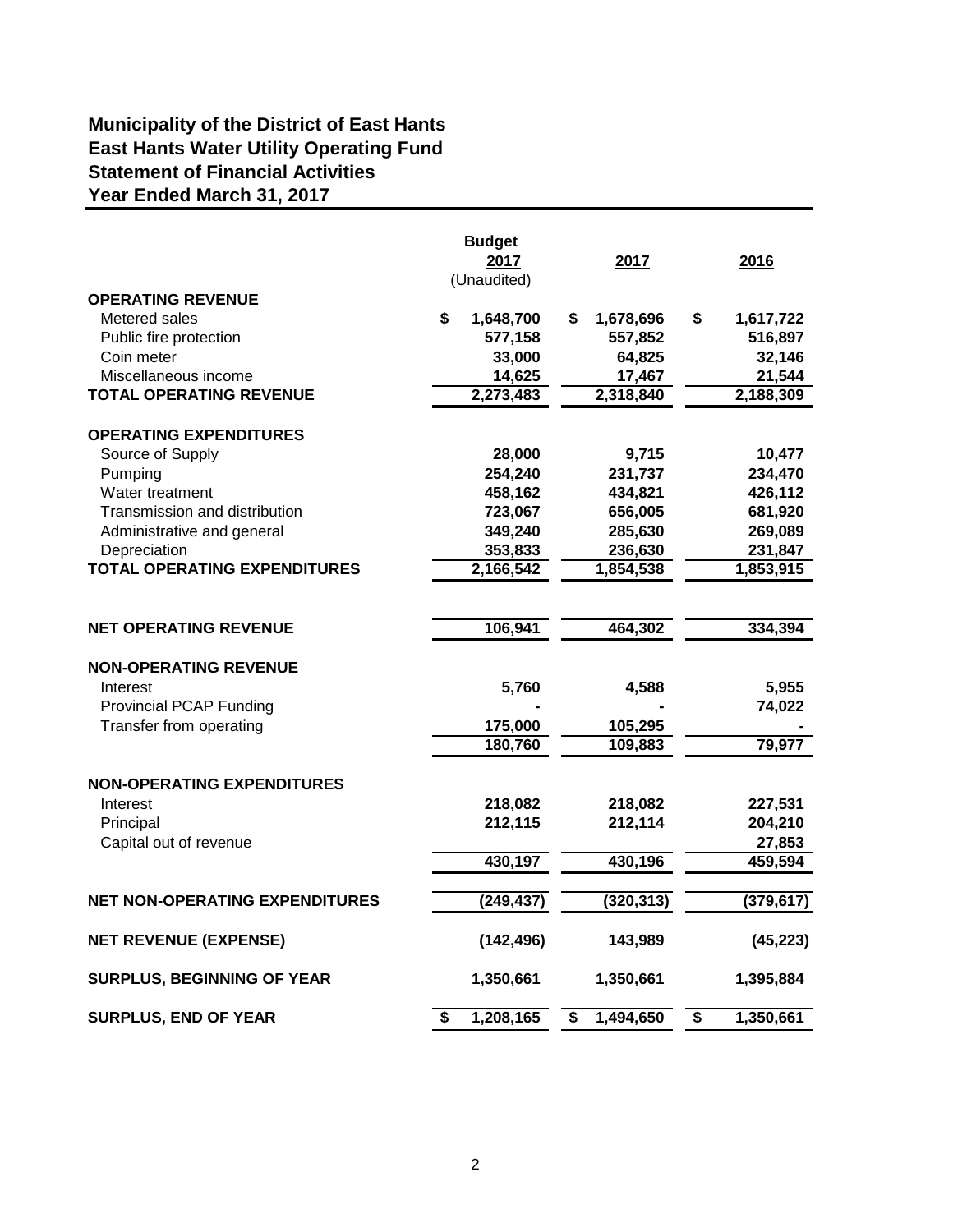## **Municipality of the District of East Hants East Hants Water Utility Operating Fund Year Ended March 31, 2017 Statement of Financial Activities**

|                                           | <b>Budget</b><br>2017<br>(Unaudited) | 2017            | 2016            |
|-------------------------------------------|--------------------------------------|-----------------|-----------------|
| <b>OPERATING REVENUE</b><br>Metered sales | \$<br>1,648,700                      | \$<br>1,678,696 | \$<br>1,617,722 |
| Public fire protection                    | 577,158                              | 557,852         | 516,897         |
| Coin meter                                | 33,000                               | 64,825          | 32,146          |
| Miscellaneous income                      | 14,625                               | 17,467          | 21,544          |
| <b>TOTAL OPERATING REVENUE</b>            | 2,273,483                            | 2,318,840       | 2,188,309       |
| <b>OPERATING EXPENDITURES</b>             |                                      |                 |                 |
| Source of Supply                          | 28,000                               | 9,715           | 10,477          |
| Pumping                                   | 254,240                              | 231,737         | 234,470         |
| Water treatment                           | 458,162                              | 434,821         | 426,112         |
| Transmission and distribution             | 723,067                              | 656,005         | 681,920         |
| Administrative and general                | 349,240                              | 285,630         | 269,089         |
| Depreciation                              | 353,833                              | 236,630         | 231,847         |
| <b>TOTAL OPERATING EXPENDITURES</b>       | 2,166,542                            | 1,854,538       | 1,853,915       |
|                                           |                                      |                 |                 |
| <b>NET OPERATING REVENUE</b>              | 106,941                              | 464,302         | 334,394         |
| <b>NON-OPERATING REVENUE</b>              |                                      |                 |                 |
| Interest                                  | 5,760                                | 4,588           | 5,955           |
| <b>Provincial PCAP Funding</b>            |                                      |                 | 74,022          |
| Transfer from operating                   | 175,000                              | 105,295         |                 |
|                                           | 180,760                              | 109,883         | 79,977          |
| <b>NON-OPERATING EXPENDITURES</b>         |                                      |                 |                 |
| Interest                                  | 218,082                              | 218,082         | 227,531         |
| Principal                                 | 212,115                              | 212,114         | 204,210         |
| Capital out of revenue                    |                                      |                 | 27,853          |
|                                           | 430,197                              | 430,196         | 459,594         |
| <b>NET NON-OPERATING EXPENDITURES</b>     | (249, 437)                           | (320, 313)      | (379, 617)      |
| <b>NET REVENUE (EXPENSE)</b>              | (142, 496)                           | 143,989         | (45, 223)       |
| <b>SURPLUS, BEGINNING OF YEAR</b>         | 1,350,661                            | 1,350,661       | 1,395,884       |
| <b>SURPLUS, END OF YEAR</b>               | 1,208,165<br>\$                      | 1,494,650<br>\$ | \$<br>1,350,661 |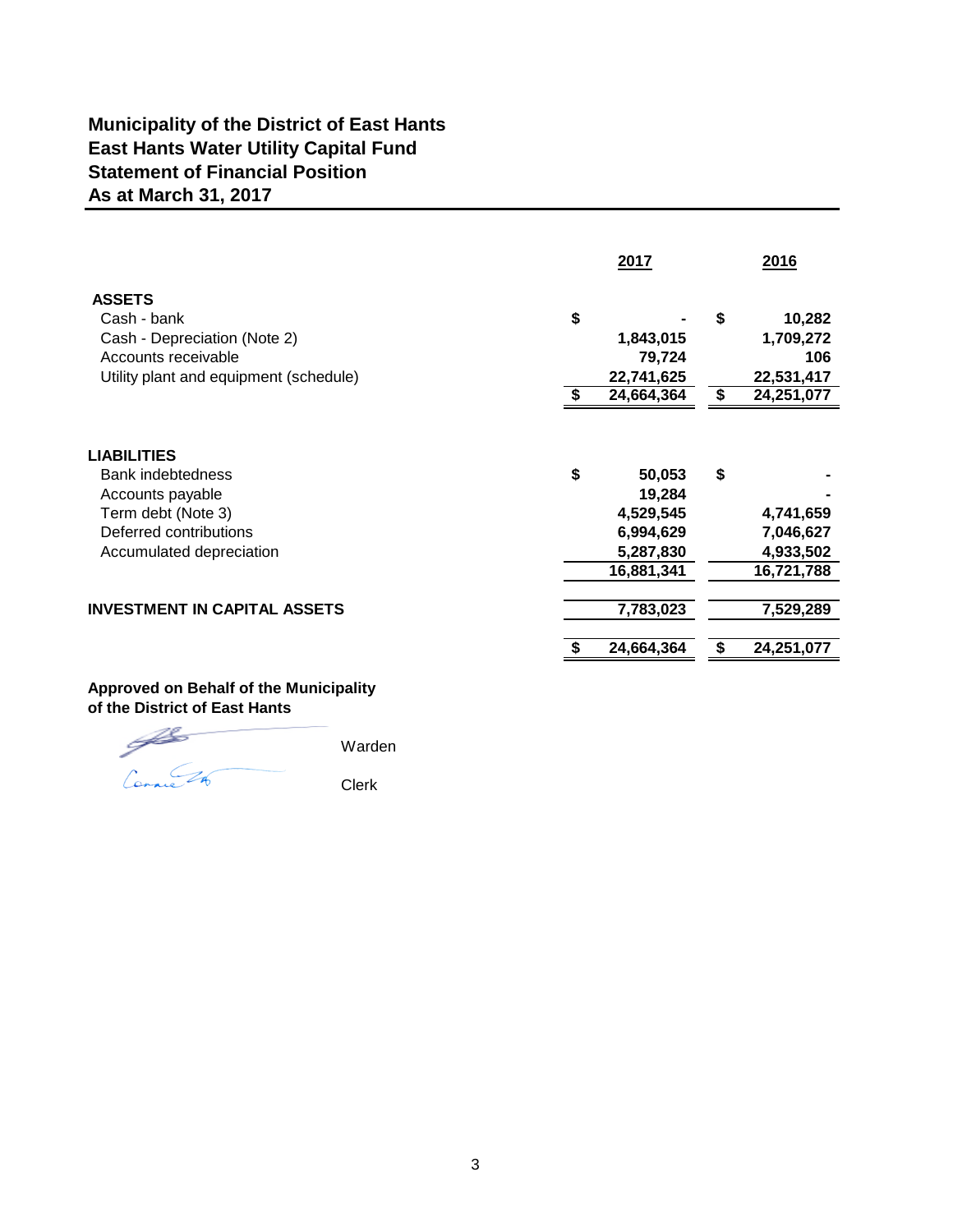## **Municipality of the District of East Hants East Hants Water Utility Capital Fund As at March 31, 2017 Statement of Financial Position**

|                                                                                                                               | 2017 |                                                 |          | 2016                                                   |
|-------------------------------------------------------------------------------------------------------------------------------|------|-------------------------------------------------|----------|--------------------------------------------------------|
| <b>ASSETS</b><br>Cash - bank<br>Cash - Depreciation (Note 2)<br>Accounts receivable<br>Utility plant and equipment (schedule) | \$   | 1,843,015<br>79,724<br>22,741,625<br>24,664,364 | \$<br>\$ | 10,282<br>1,709,272<br>106<br>22,531,417<br>24,251,077 |
| <b>LIABILITIES</b>                                                                                                            |      |                                                 |          |                                                        |
| Bank indebtedness                                                                                                             | \$   | 50,053                                          | \$       |                                                        |
| Accounts payable                                                                                                              |      | 19,284                                          |          |                                                        |
| Term debt (Note 3)                                                                                                            |      | 4,529,545                                       |          | 4,741,659                                              |
| Deferred contributions                                                                                                        |      | 6,994,629                                       |          | 7,046,627                                              |
| Accumulated depreciation                                                                                                      |      | 5,287,830                                       |          | 4,933,502                                              |
|                                                                                                                               |      | 16,881,341                                      |          | 16,721,788                                             |
| <b>INVESTMENT IN CAPITAL ASSETS</b>                                                                                           |      | 7,783,023                                       |          | 7,529,289                                              |
|                                                                                                                               |      | 24,664,364                                      | S        | 24,251,077                                             |

# **Approved on Behalf of the Municipality**

**of the District of East Hants**<br>
Connected **Fast** 

Warden

Clerk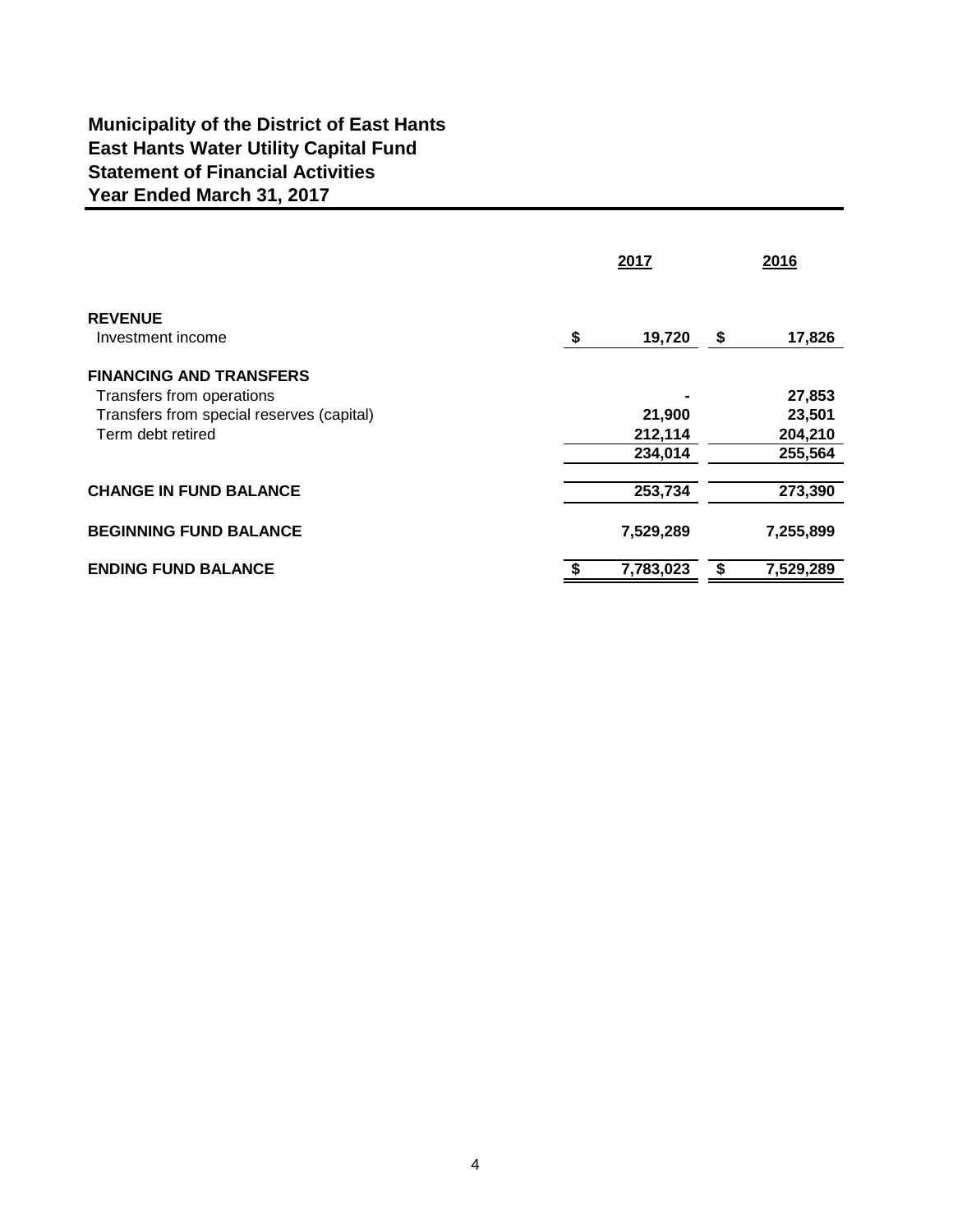# **Municipality of the District of East Hants East Hants Water Utility Capital Fund Year Ended March 31, 2017 Statement of Financial Activities**

|                                                             | 2017               | 2016               |
|-------------------------------------------------------------|--------------------|--------------------|
| <b>REVENUE</b><br>Investment income                         | \$<br>19,720       | 17,826<br>\$       |
| <b>FINANCING AND TRANSFERS</b><br>Transfers from operations |                    | 27,853             |
| Transfers from special reserves (capital)                   | 21,900             | 23,501             |
| Term debt retired                                           | 212,114<br>234,014 | 204,210<br>255,564 |
|                                                             |                    |                    |
| <b>CHANGE IN FUND BALANCE</b>                               | 253,734            | 273,390            |
| <b>BEGINNING FUND BALANCE</b>                               | 7,529,289          | 7,255,899          |
| <b>ENDING FUND BALANCE</b>                                  | 7,783,023          | 7,529,289<br>\$    |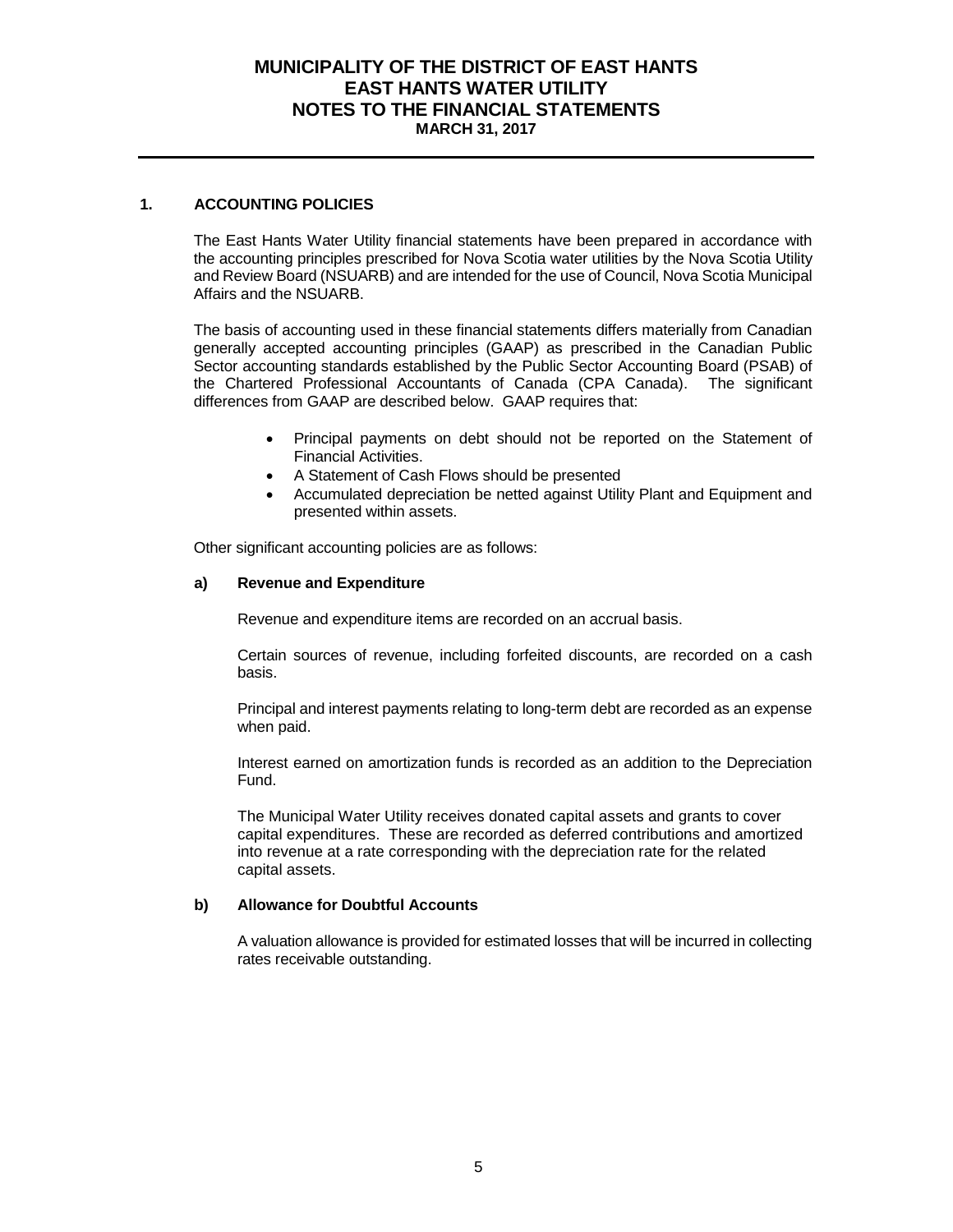#### **MUNICIPALITY OF THE DISTRICT OF EAST HANTS EAST HANTS WATER UTILITY NOTES TO THE FINANCIAL STATEMENTS MARCH 31, 2017**

#### **1. ACCOUNTING POLICIES**

The East Hants Water Utility financial statements have been prepared in accordance with the accounting principles prescribed for Nova Scotia water utilities by the Nova Scotia Utility and Review Board (NSUARB) and are intended for the use of Council, Nova Scotia Municipal Affairs and the NSUARB.

The basis of accounting used in these financial statements differs materially from Canadian generally accepted accounting principles (GAAP) as prescribed in the Canadian Public Sector accounting standards established by the Public Sector Accounting Board (PSAB) of the Chartered Professional Accountants of Canada (CPA Canada). The significant differences from GAAP are described below. GAAP requires that:

- Principal payments on debt should not be reported on the Statement of Financial Activities.
- A Statement of Cash Flows should be presented
- Accumulated depreciation be netted against Utility Plant and Equipment and presented within assets.

Other significant accounting policies are as follows:

#### **a) Revenue and Expenditure**

Revenue and expenditure items are recorded on an accrual basis.

Certain sources of revenue, including forfeited discounts, are recorded on a cash basis.

Principal and interest payments relating to long-term debt are recorded as an expense when paid.

Interest earned on amortization funds is recorded as an addition to the Depreciation Fund.

The Municipal Water Utility receives donated capital assets and grants to cover capital expenditures. These are recorded as deferred contributions and amortized into revenue at a rate corresponding with the depreciation rate for the related capital assets.

#### **b) Allowance for Doubtful Accounts**

A valuation allowance is provided for estimated losses that will be incurred in collecting rates receivable outstanding.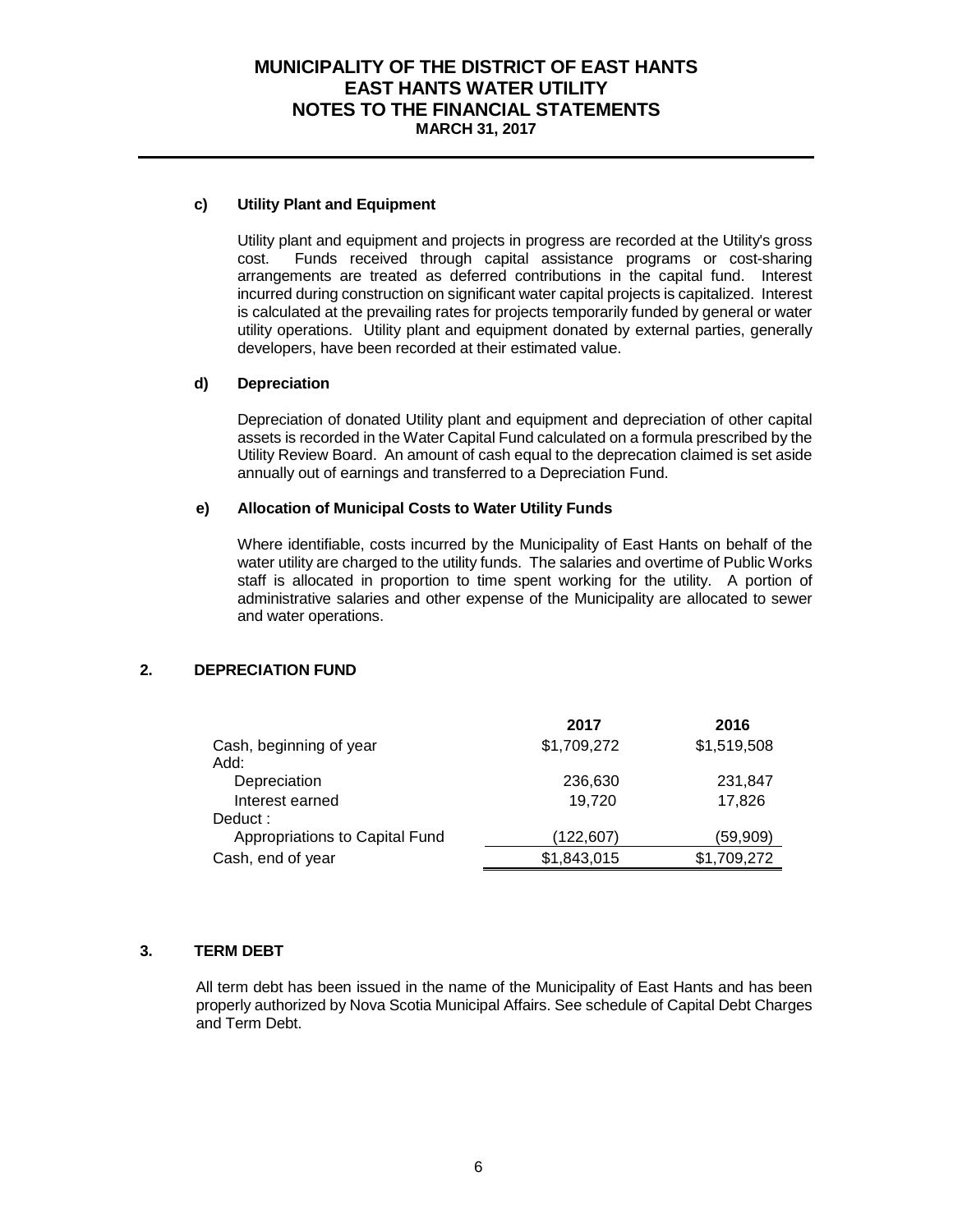#### **MUNICIPALITY OF THE DISTRICT OF EAST HANTS EAST HANTS WATER UTILITY NOTES TO THE FINANCIAL STATEMENTS MARCH 31, 2017**

#### **c) Utility Plant and Equipment**

Utility plant and equipment and projects in progress are recorded at the Utility's gross cost. Funds received through capital assistance programs or cost-sharing arrangements are treated as deferred contributions in the capital fund. Interest incurred during construction on significant water capital projects is capitalized. Interest is calculated at the prevailing rates for projects temporarily funded by general or water utility operations. Utility plant and equipment donated by external parties, generally developers, have been recorded at their estimated value.

#### **d) Depreciation**

Depreciation of donated Utility plant and equipment and depreciation of other capital assets is recorded in the Water Capital Fund calculated on a formula prescribed by the Utility Review Board. An amount of cash equal to the deprecation claimed is set aside annually out of earnings and transferred to a Depreciation Fund.

#### **e) Allocation of Municipal Costs to Water Utility Funds**

Where identifiable, costs incurred by the Municipality of East Hants on behalf of the water utility are charged to the utility funds. The salaries and overtime of Public Works staff is allocated in proportion to time spent working for the utility. A portion of administrative salaries and other expense of the Municipality are allocated to sewer and water operations.

#### **2. DEPRECIATION FUND**

|                                | 2017        | 2016        |
|--------------------------------|-------------|-------------|
| Cash, beginning of year        | \$1,709,272 | \$1,519,508 |
| Add:                           |             |             |
| Depreciation                   | 236,630     | 231,847     |
| Interest earned                | 19.720      | 17.826      |
| Deduct:                        |             |             |
| Appropriations to Capital Fund | (122, 607)  | (59,909)    |
| Cash, end of year              | \$1,843,015 | \$1,709,272 |

#### **3. TERM DEBT**

All term debt has been issued in the name of the Municipality of East Hants and has been properly authorized by Nova Scotia Municipal Affairs. See schedule of Capital Debt Charges and Term Debt.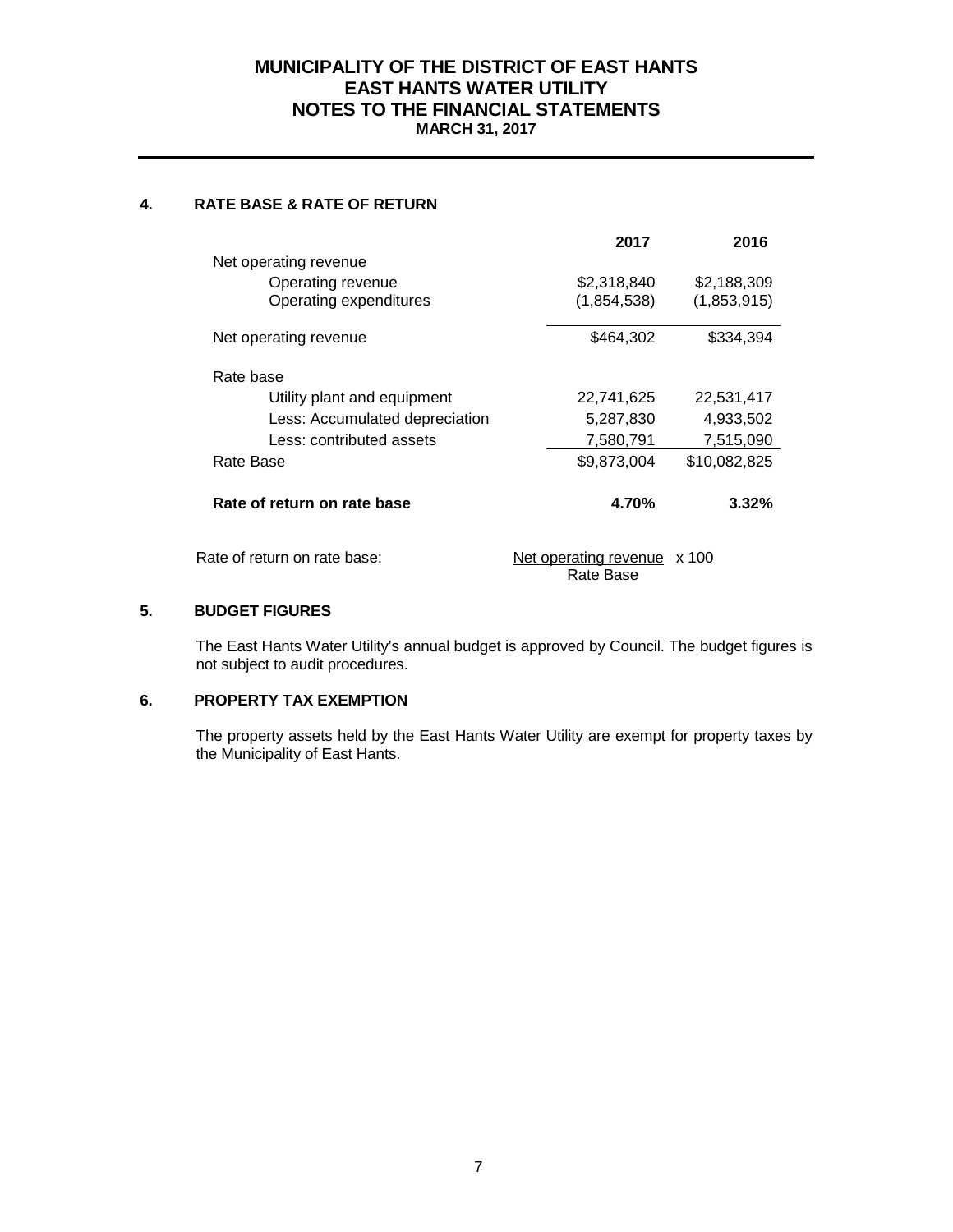#### **MUNICIPALITY OF THE DISTRICT OF EAST HANTS EAST HANTS WATER UTILITY NOTES TO THE FINANCIAL STATEMENTS MARCH 31, 2017**

#### **4. RATE BASE & RATE OF RETURN**

|                                | 2017        | 2016         |
|--------------------------------|-------------|--------------|
| Net operating revenue          |             |              |
| Operating revenue              | \$2,318,840 | \$2,188,309  |
| Operating expenditures         | (1,854,538) | (1,853,915)  |
| Net operating revenue          | \$464,302   | \$334,394    |
| Rate base                      |             |              |
| Utility plant and equipment    | 22,741,625  | 22.531.417   |
| Less: Accumulated depreciation | 5,287,830   | 4,933,502    |
| Less: contributed assets       | 7,580,791   | 7,515,090    |
| Rate Base                      | \$9,873,004 | \$10,082,825 |
| Rate of return on rate base    | 4.70%       | $3.32\%$     |
| .                              |             |              |

Rate of return on rate base: Net operating revenue x 100

Rate Base

#### **5. BUDGET FIGURES**

The East Hants Water Utility's annual budget is approved by Council. The budget figures is not subject to audit procedures.

#### **6. PROPERTY TAX EXEMPTION**

The property assets held by the East Hants Water Utility are exempt for property taxes by the Municipality of East Hants.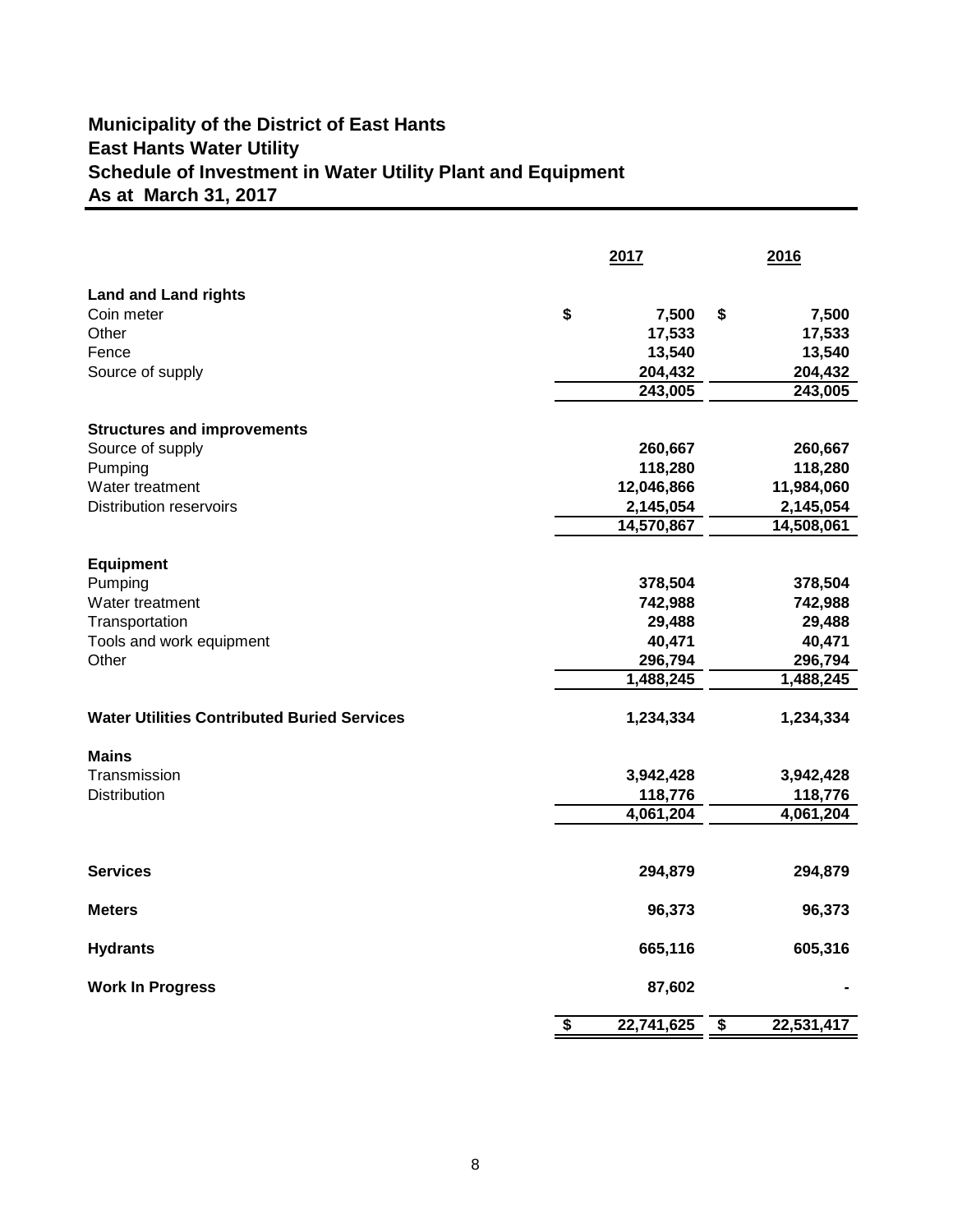# **Schedule of Investment in Water Utility Plant and Equipment Municipality of the District of East Hants East Hants Water Utility As at March 31, 2017**

|                                                    | 2017            |                    |    | 2016                  |  |
|----------------------------------------------------|-----------------|--------------------|----|-----------------------|--|
| <b>Land and Land rights</b>                        |                 |                    |    |                       |  |
| Coin meter                                         | \$              | 7,500              | \$ | 7,500                 |  |
| Other                                              |                 | 17,533             |    | 17,533                |  |
| Fence                                              |                 | 13,540             |    | 13,540                |  |
| Source of supply                                   |                 | 204,432            |    | 204,432               |  |
|                                                    |                 | 243,005            |    | 243,005               |  |
|                                                    |                 |                    |    |                       |  |
| <b>Structures and improvements</b>                 |                 |                    |    |                       |  |
| Source of supply                                   |                 | 260,667<br>118,280 |    | 260,667               |  |
| Pumping<br>Water treatment                         |                 | 12,046,866         |    | 118,280<br>11,984,060 |  |
| <b>Distribution reservoirs</b>                     |                 | 2,145,054          |    | 2,145,054             |  |
|                                                    |                 | 14,570,867         |    | 14,508,061            |  |
|                                                    |                 |                    |    |                       |  |
| <b>Equipment</b>                                   |                 |                    |    |                       |  |
| Pumping                                            |                 | 378,504            |    | 378,504               |  |
| Water treatment                                    |                 | 742,988            |    | 742,988               |  |
| Transportation                                     |                 | 29,488             |    | 29,488                |  |
| Tools and work equipment                           |                 | 40,471             |    | 40,471                |  |
| Other                                              |                 | 296,794            |    | 296,794               |  |
|                                                    |                 | 1,488,245          |    | 1,488,245             |  |
|                                                    |                 |                    |    |                       |  |
| <b>Water Utilities Contributed Buried Services</b> |                 | 1,234,334          |    | 1,234,334             |  |
| <b>Mains</b>                                       |                 |                    |    |                       |  |
| Transmission                                       |                 | 3,942,428          |    | 3,942,428             |  |
| <b>Distribution</b>                                |                 | 118,776            |    | 118,776               |  |
|                                                    |                 | 4,061,204          |    | 4,061,204             |  |
|                                                    |                 |                    |    |                       |  |
| <b>Services</b>                                    |                 | 294,879            |    | 294,879               |  |
| <b>Meters</b>                                      |                 | 96,373             |    | 96,373                |  |
|                                                    |                 |                    |    |                       |  |
| <b>Hydrants</b>                                    |                 | 665,116            |    | 605,316               |  |
| <b>Work In Progress</b>                            |                 | 87,602             |    |                       |  |
|                                                    | $\overline{\$}$ | 22,741,625         | \$ | 22,531,417            |  |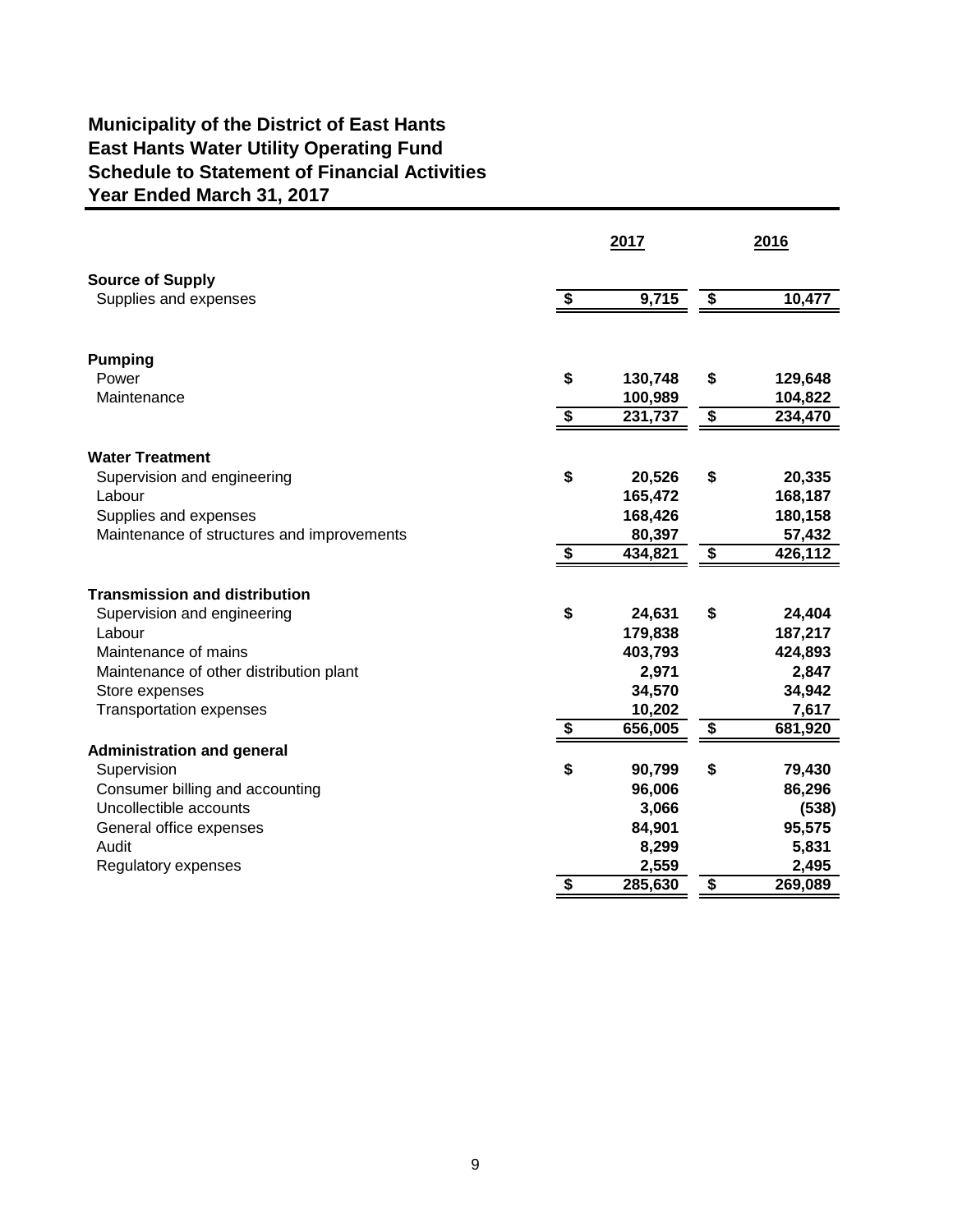## **Municipality of the District of East Hants East Hants Water Utility Operating Fund Schedule to Statement of Financial Activities Year Ended March 31, 2017**

|                                            |                                      | 2017    | 2016                 |         |  |
|--------------------------------------------|--------------------------------------|---------|----------------------|---------|--|
| <b>Source of Supply</b>                    |                                      |         |                      |         |  |
| Supplies and expenses                      | \$                                   | 9,715   | \$                   | 10,477  |  |
| <b>Pumping</b>                             |                                      |         |                      |         |  |
| Power                                      | \$                                   | 130,748 | \$                   | 129,648 |  |
| Maintenance                                |                                      | 100,989 |                      | 104,822 |  |
|                                            | \$                                   | 231,737 | \$                   | 234,470 |  |
| <b>Water Treatment</b>                     |                                      |         |                      |         |  |
| Supervision and engineering                | \$                                   | 20,526  | \$                   | 20,335  |  |
| Labour                                     |                                      | 165,472 |                      | 168,187 |  |
| Supplies and expenses                      |                                      | 168,426 |                      | 180,158 |  |
| Maintenance of structures and improvements |                                      | 80,397  |                      | 57,432  |  |
|                                            | \$                                   | 434,821 | $\overline{\bullet}$ | 426,112 |  |
| <b>Transmission and distribution</b>       |                                      |         |                      |         |  |
| Supervision and engineering                | \$                                   | 24,631  | \$                   | 24,404  |  |
| Labour                                     |                                      | 179,838 |                      | 187,217 |  |
| Maintenance of mains                       |                                      | 403,793 |                      | 424,893 |  |
| Maintenance of other distribution plant    |                                      | 2,971   |                      | 2,847   |  |
| Store expenses                             |                                      | 34,570  |                      | 34,942  |  |
| <b>Transportation expenses</b>             |                                      | 10,202  |                      | 7,617   |  |
|                                            | \$                                   | 656,005 | \$                   | 681,920 |  |
| <b>Administration and general</b>          |                                      |         |                      |         |  |
| Supervision                                | \$                                   | 90,799  | \$                   | 79,430  |  |
| Consumer billing and accounting            |                                      | 96,006  |                      | 86,296  |  |
| Uncollectible accounts                     |                                      | 3,066   |                      | (538)   |  |
| General office expenses                    |                                      | 84,901  |                      | 95,575  |  |
| Audit                                      |                                      | 8,299   |                      | 5,831   |  |
| Regulatory expenses                        |                                      | 2,559   |                      | 2,495   |  |
|                                            | $\overline{\boldsymbol{\mathsf{s}}}$ | 285,630 | \$                   | 269,089 |  |